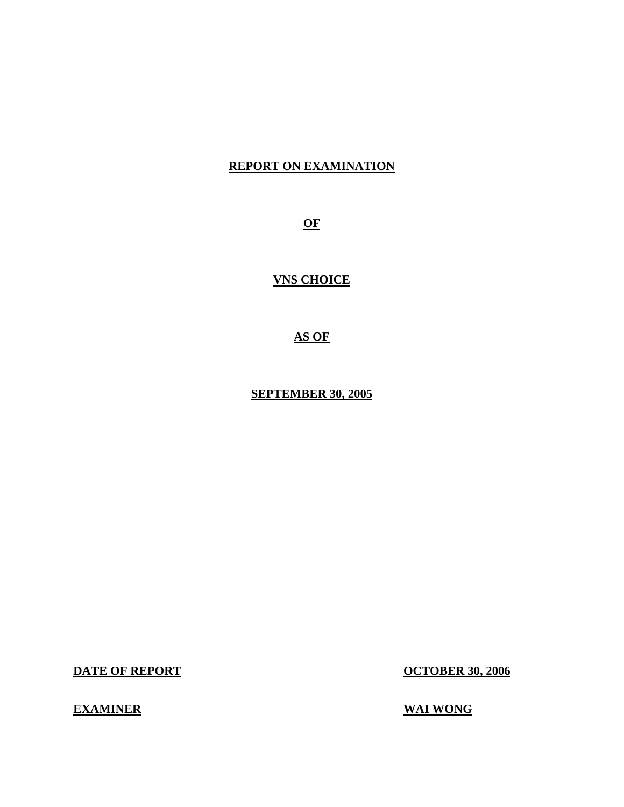## **REPORT ON EXAMINATION**

**OF** 

**VNS CHOICE** 

**AS OF** 

**SEPTEMBER 30, 2005** 

**DATE OF REPORT CONTRACT CONTRACT CONTRACT CONTRACT CONTRACT CONTRACT CONTRACT CONTRACT CONTRACT CONTRACT CONTRACT CONTRACT CONTRACT CONTRACT CONTRACT CONTRACT CONTRACT CONTRACT CONTRACT CONTRACT CONTRACT CONTRACT CONTRACT** 

## **EXAMINER** WAI WONG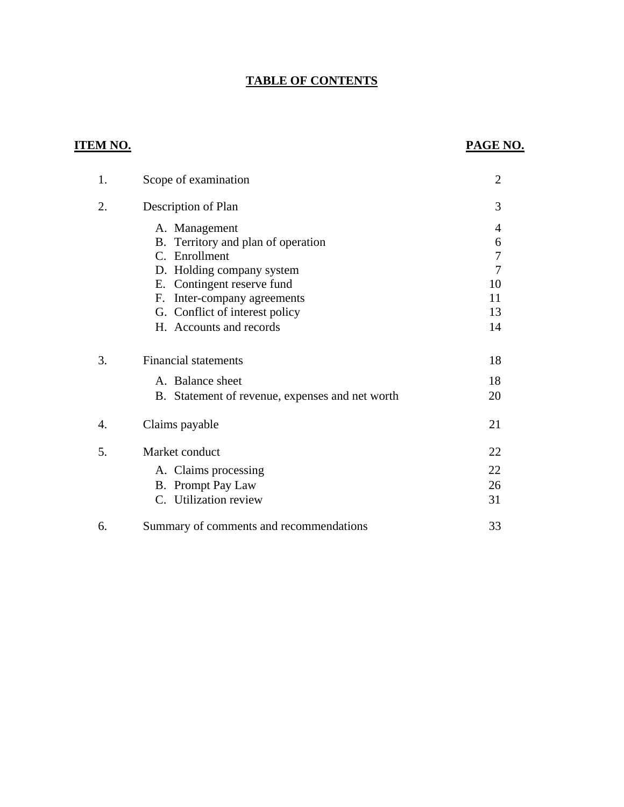## **TABLE OF CONTENTS**

## **ITEM NO.**

## **PAGE NO.**

| 1. | Scope of examination                            | $\overline{2}$ |
|----|-------------------------------------------------|----------------|
| 2. | Description of Plan                             | 3              |
|    | A. Management                                   | 4              |
|    | B. Territory and plan of operation              | 6              |
|    | C. Enrollment                                   | 7              |
|    | D. Holding company system                       | $\overline{7}$ |
|    | E. Contingent reserve fund                      | 10             |
|    | Inter-company agreements<br>F.                  | 11             |
|    | G. Conflict of interest policy                  | 13             |
|    | H. Accounts and records                         | 14             |
| 3. | <b>Financial statements</b>                     | 18             |
|    | A. Balance sheet                                | 18             |
|    | B. Statement of revenue, expenses and net worth | 20             |
| 4. | Claims payable                                  | 21             |
| 5. | Market conduct                                  | 22             |
|    | A. Claims processing                            | 22             |
|    | B. Prompt Pay Law                               | 26             |
|    | C. Utilization review                           | 31             |
| 6. | Summary of comments and recommendations         | 33             |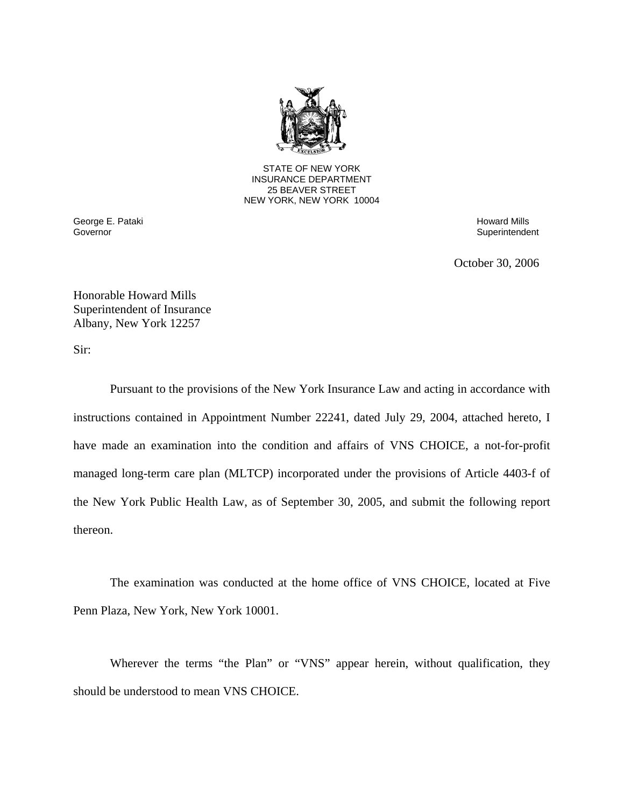

25 BEAVER STREET STATE OF NEW YORK INSURANCE DEPARTMENT NEW YORK, NEW YORK 10004

Governor George E. Pataki **Howard Mills** George E. Pataki Howard Mills **Howard Mills** Howard Mills **Howard Mills** 

Superintendent

October 30, 2006

Honorable Howard Mills Superintendent of Insurance Albany, New York 12257

Sir:

Pursuant to the provisions of the New York Insurance Law and acting in accordance with instructions contained in Appointment Number 22241, dated July 29, 2004, attached hereto, I have made an examination into the condition and affairs of VNS CHOICE, a not-for-profit managed long-term care plan (MLTCP) incorporated under the provisions of Article 4403-f of the New York Public Health Law, as of September 30, 2005, and submit the following report thereon.

The examination was conducted at the home office of VNS CHOICE, located at Five Penn Plaza, New York, New York 10001.

Wherever the terms "the Plan" or "VNS" appear herein, without qualification, they should be understood to mean VNS CHOICE.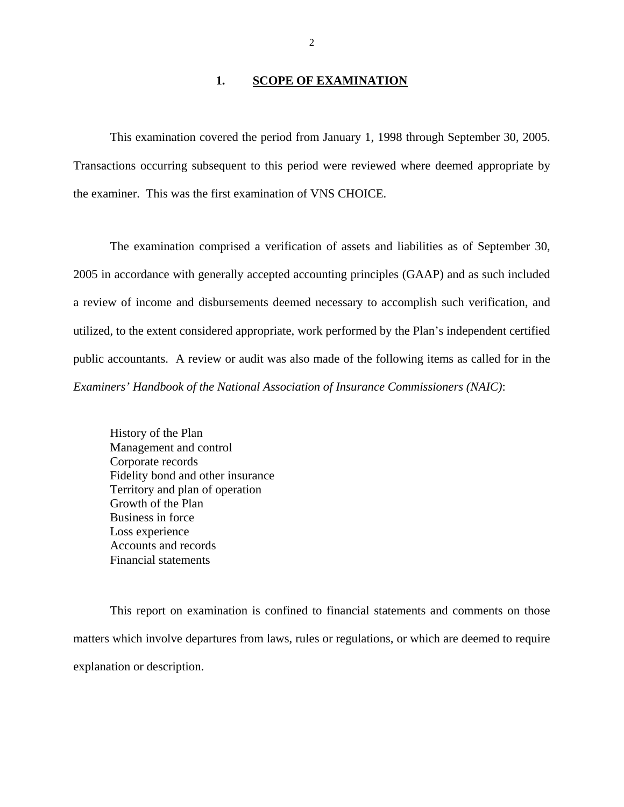#### 1. **SCOPE OF EXAMINATION**

<span id="page-3-0"></span>This examination covered the period from January 1, 1998 through September 30, 2005. Transactions occurring subsequent to this period were reviewed where deemed appropriate by the examiner. This was the first examination of VNS CHOICE.

The examination comprised a verification of assets and liabilities as of September 30, 2005 in accordance with generally accepted accounting principles (GAAP) and as such included a review of income and disbursements deemed necessary to accomplish such verification, and utilized, to the extent considered appropriate, work performed by the Plan's independent certified public accountants. A review or audit was also made of the following items as called for in the *Examiners' Handbook of the National Association of Insurance Commissioners (NAIC)*:

History of the Plan Management and control Corporate records Fidelity bond and other insurance Territory and plan of operation Growth of the Plan Business in force Loss experience Accounts and records Financial statements

This report on examination is confined to financial statements and comments on those matters which involve departures from laws, rules or regulations, or which are deemed to require explanation or description.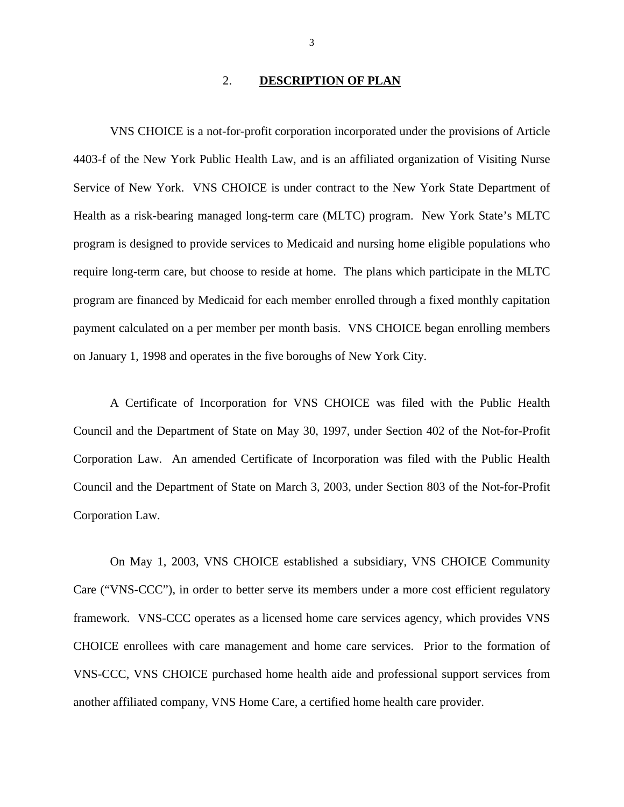#### 2. **DESCRIPTION OF PLAN**

<span id="page-4-0"></span>VNS CHOICE is a not-for-profit corporation incorporated under the provisions of Article 4403-f of the New York Public Health Law, and is an affiliated organization of Visiting Nurse Service of New York. VNS CHOICE is under contract to the New York State Department of Health as a risk-bearing managed long-term care (MLTC) program. New York State's MLTC program is designed to provide services to Medicaid and nursing home eligible populations who require long-term care, but choose to reside at home. The plans which participate in the MLTC program are financed by Medicaid for each member enrolled through a fixed monthly capitation payment calculated on a per member per month basis. VNS CHOICE began enrolling members on January 1, 1998 and operates in the five boroughs of New York City.

A Certificate of Incorporation for VNS CHOICE was filed with the Public Health Council and the Department of State on May 30, 1997, under Section 402 of the Not-for-Profit Corporation Law. An amended Certificate of Incorporation was filed with the Public Health Council and the Department of State on March 3, 2003, under Section 803 of the Not-for-Profit Corporation Law.

On May 1, 2003, VNS CHOICE established a subsidiary, VNS CHOICE Community Care ("VNS-CCC"), in order to better serve its members under a more cost efficient regulatory framework. VNS-CCC operates as a licensed home care services agency, which provides VNS CHOICE enrollees with care management and home care services. Prior to the formation of VNS-CCC, VNS CHOICE purchased home health aide and professional support services from another affiliated company, VNS Home Care, a certified home health care provider.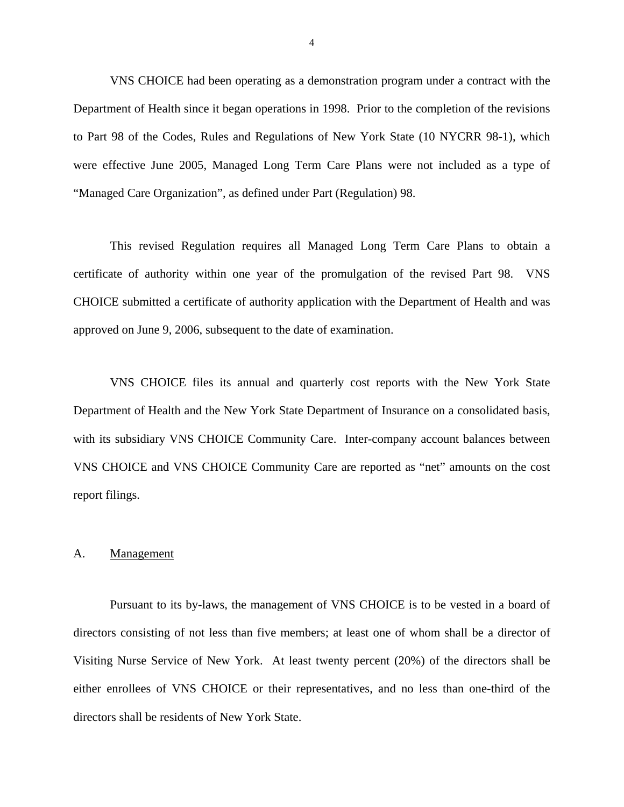<span id="page-5-0"></span>VNS CHOICE had been operating as a demonstration program under a contract with the Department of Health since it began operations in 1998. Prior to the completion of the revisions to Part 98 of the Codes, Rules and Regulations of New York State (10 NYCRR 98-1), which were effective June 2005, Managed Long Term Care Plans were not included as a type of "Managed Care Organization", as defined under Part (Regulation) 98.

This revised Regulation requires all Managed Long Term Care Plans to obtain a certificate of authority within one year of the promulgation of the revised Part 98. VNS CHOICE submitted a certificate of authority application with the Department of Health and was approved on June 9, 2006, subsequent to the date of examination.

VNS CHOICE files its annual and quarterly cost reports with the New York State Department of Health and the New York State Department of Insurance on a consolidated basis, with its subsidiary VNS CHOICE Community Care. Inter-company account balances between VNS CHOICE and VNS CHOICE Community Care are reported as "net" amounts on the cost report filings.

#### A. Management

Pursuant to its by-laws, the management of VNS CHOICE is to be vested in a board of directors consisting of not less than five members; at least one of whom shall be a director of Visiting Nurse Service of New York. At least twenty percent (20%) of the directors shall be either enrollees of VNS CHOICE or their representatives, and no less than one-third of the directors shall be residents of New York State.

4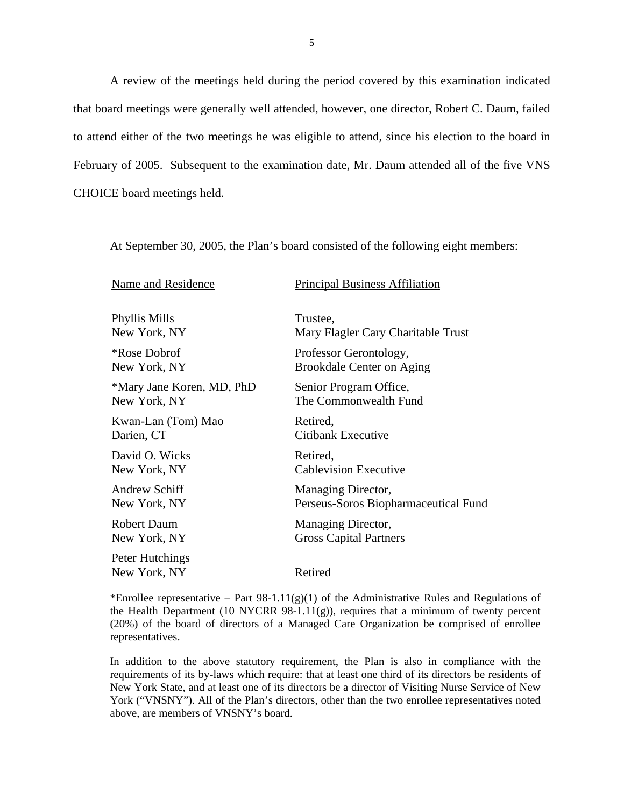A review of the meetings held during the period covered by this examination indicated that board meetings were generally well attended, however, one director, Robert C. Daum, failed to attend either of the two meetings he was eligible to attend, since his election to the board in February of 2005. Subsequent to the examination date, Mr. Daum attended all of the five VNS CHOICE board meetings held.

At September 30, 2005, the Plan's board consisted of the following eight members:

| Name and Residence              | <b>Principal Business Affiliation</b> |
|---------------------------------|---------------------------------------|
| <b>Phyllis Mills</b>            | Trustee,                              |
| New York, NY                    | Mary Flagler Cary Charitable Trust    |
| <i><b>*Rose Dobrof</b></i>      | Professor Gerontology,                |
| New York, NY                    | <b>Brookdale Center on Aging</b>      |
| *Mary Jane Koren, MD, PhD       | Senior Program Office,                |
| New York, NY                    | The Commonwealth Fund                 |
| Kwan-Lan (Tom) Mao              | Retired,                              |
| Darien, CT                      | Citibank Executive                    |
| David O. Wicks                  | Retired,                              |
| New York, NY                    | <b>Cablevision Executive</b>          |
| Andrew Schiff                   | Managing Director,                    |
| New York, NY                    | Perseus-Soros Biopharmaceutical Fund  |
| <b>Robert Daum</b>              | Managing Director,                    |
| New York, NY                    | <b>Gross Capital Partners</b>         |
| Peter Hutchings<br>New York, NY | Retired                               |

\*Enrollee representative – Part  $98-1.11(g)(1)$  of the Administrative Rules and Regulations of the Health Department (10 NYCRR 98-1.11(g)), requires that a minimum of twenty percent (20%) of the board of directors of a Managed Care Organization be comprised of enrollee representatives.

 above, are members of VNSNY's board. In addition to the above statutory requirement, the Plan is also in compliance with the requirements of its by-laws which require: that at least one third of its directors be residents of New York State, and at least one of its directors be a director of Visiting Nurse Service of New York ("VNSNY"). All of the Plan's directors, other than the two enrollee representatives noted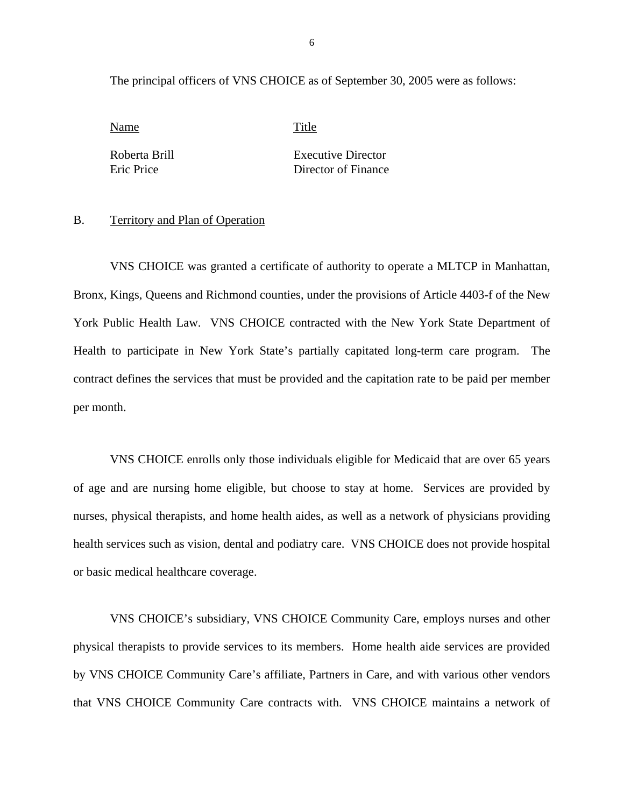<span id="page-7-0"></span>The principal officers of VNS CHOICE as of September 30, 2005 were as follows:

Name Title

Roberta Brill Executive Director Eric Price Director of Finance

#### B. Territory and Plan of Operation

VNS CHOICE was granted a certificate of authority to operate a MLTCP in Manhattan, Bronx, Kings, Queens and Richmond counties, under the provisions of Article 4403-f of the New York Public Health Law. VNS CHOICE contracted with the New York State Department of Health to participate in New York State's partially capitated long-term care program. The contract defines the services that must be provided and the capitation rate to be paid per member per month.

VNS CHOICE enrolls only those individuals eligible for Medicaid that are over 65 years of age and are nursing home eligible, but choose to stay at home. Services are provided by nurses, physical therapists, and home health aides, as well as a network of physicians providing health services such as vision, dental and podiatry care. VNS CHOICE does not provide hospital or basic medical healthcare coverage.

VNS CHOICE's subsidiary, VNS CHOICE Community Care, employs nurses and other physical therapists to provide services to its members. Home health aide services are provided by VNS CHOICE Community Care's affiliate, Partners in Care, and with various other vendors that VNS CHOICE Community Care contracts with. VNS CHOICE maintains a network of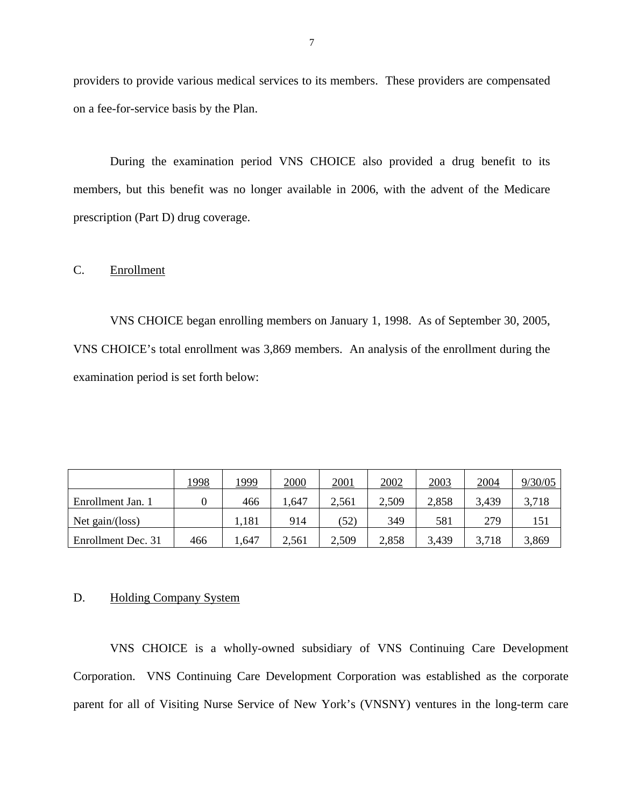providers to provide various medical services to its members. These providers are compensated on a fee-for-service basis by the Plan.

During the examination period VNS CHOICE also provided a drug benefit to its members, but this benefit was no longer available in 2006, with the advent of the Medicare prescription (Part D) drug coverage.

## C. Enrollment

VNS CHOICE began enrolling members on January 1, 1998. As of September 30, 2005, VNS CHOICE's total enrollment was 3,869 members. An analysis of the enrollment during the examination period is set forth below:

|                    | <u> 1998</u> | <u> 1999</u> | <u>2000</u> | <u>2001</u> | 2002  | 2003  | 2004  | 9/30/05 |
|--------------------|--------------|--------------|-------------|-------------|-------|-------|-------|---------|
| Enrollment Jan. 1  |              | 466          | 1,647       | 2,561       | 2,509 | 2,858 | 3,439 | 3,718   |
| Net gain/(loss)    |              | .181         | 914         | (52)        | 349   | 581   | 279   | 151     |
| Enrollment Dec. 31 | 466          | ,647         | 2,561       | 2,509       | 2,858 | 3,439 | 3,718 | 3,869   |

#### D. Holding Company System

VNS CHOICE is a wholly-owned subsidiary of VNS Continuing Care Development Corporation. VNS Continuing Care Development Corporation was established as the corporate parent for all of Visiting Nurse Service of New York's (VNSNY) ventures in the long-term care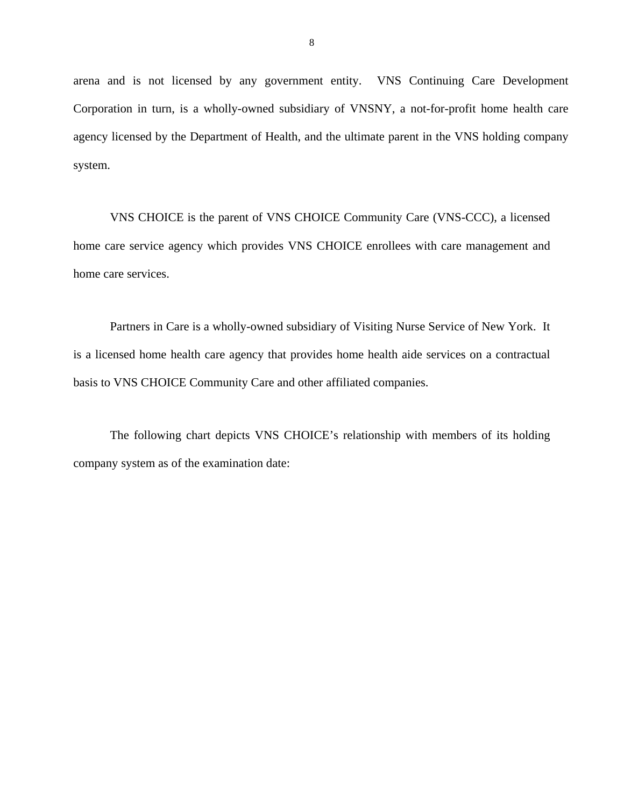arena and is not licensed by any government entity. VNS Continuing Care Development Corporation in turn, is a wholly-owned subsidiary of VNSNY, a not-for-profit home health care agency licensed by the Department of Health, and the ultimate parent in the VNS holding company system.

VNS CHOICE is the parent of VNS CHOICE Community Care (VNS-CCC), a licensed home care service agency which provides VNS CHOICE enrollees with care management and home care services.

Partners in Care is a wholly-owned subsidiary of Visiting Nurse Service of New York. It is a licensed home health care agency that provides home health aide services on a contractual basis to VNS CHOICE Community Care and other affiliated companies.

The following chart depicts VNS CHOICE's relationship with members of its holding company system as of the examination date: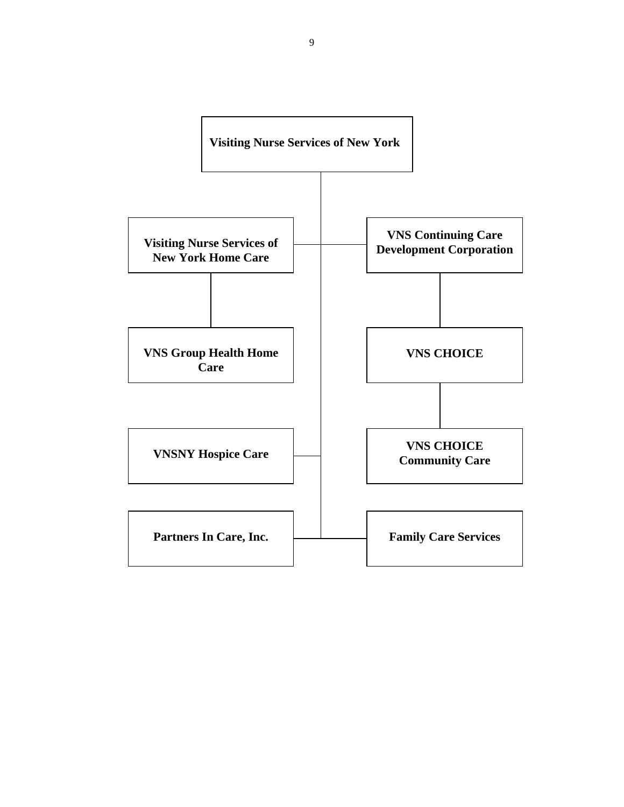

9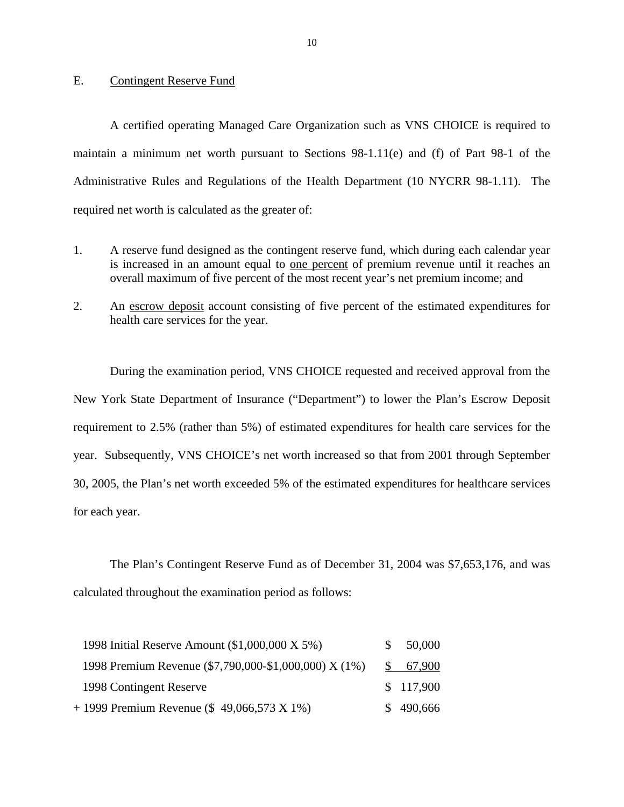#### <span id="page-11-0"></span>E. Contingent Reserve Fund

A certified operating Managed Care Organization such as VNS CHOICE is required to maintain a minimum net worth pursuant to Sections 98-1.11(e) and (f) of Part 98-1 of the Administrative Rules and Regulations of the Health Department (10 NYCRR 98-1.11). The required net worth is calculated as the greater of:

- 1. A reserve fund designed as the contingent reserve fund, which during each calendar year is increased in an amount equal to one percent of premium revenue until it reaches an overall maximum of five percent of the most recent year's net premium income; and
- 2. An escrow deposit account consisting of five percent of the estimated expenditures for health care services for the year.

During the examination period, VNS CHOICE requested and received approval from the New York State Department of Insurance ("Department") to lower the Plan's Escrow Deposit requirement to 2.5% (rather than 5%) of estimated expenditures for health care services for the year. Subsequently, VNS CHOICE's net worth increased so that from 2001 through September 30, 2005, the Plan's net worth exceeded 5% of the estimated expenditures for healthcare services for each year.

The Plan's Contingent Reserve Fund as of December 31, 2004 was \$7,653,176, and was calculated throughout the examination period as follows:

| 1998 Initial Reserve Amount (\$1,000,000 X 5%)        | SS. | 50,000    |
|-------------------------------------------------------|-----|-----------|
| 1998 Premium Revenue (\$7,790,000-\$1,000,000) X (1%) |     | \$67,900  |
| 1998 Contingent Reserve                               |     | \$117,900 |
| $+$ 1999 Premium Revenue (\$49,066,573 X 1%)          |     | \$490,666 |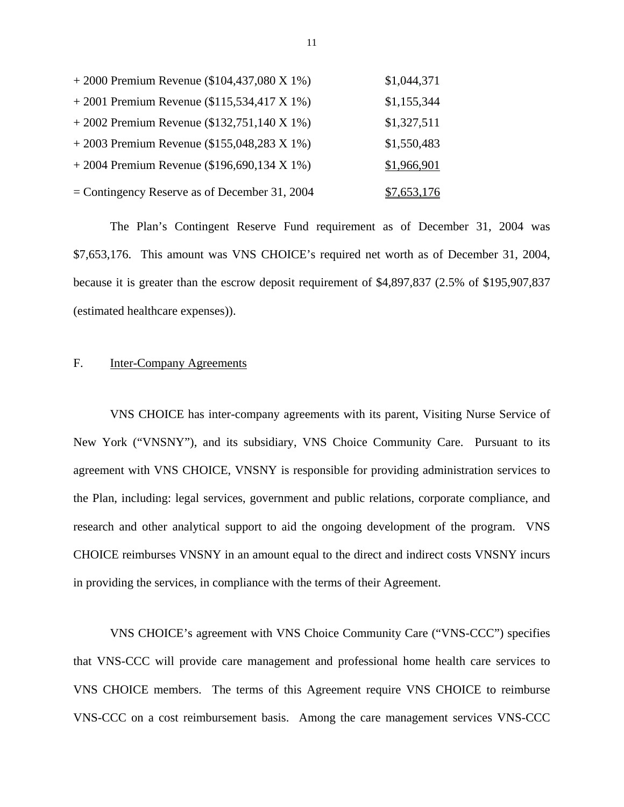<span id="page-12-0"></span>

| $+2000$ Premium Revenue (\$104,437,080 X 1%)    | \$1,044,371 |
|-------------------------------------------------|-------------|
| $+2001$ Premium Revenue (\$115,534,417 X 1%)    | \$1,155,344 |
| $+2002$ Premium Revenue (\$132,751,140 X 1%)    | \$1,327,511 |
| $+2003$ Premium Revenue (\$155,048,283 X 1%)    | \$1,550,483 |
| $+2004$ Premium Revenue (\$196,690,134 X 1%)    | \$1,966,901 |
| $=$ Contingency Reserve as of December 31, 2004 | \$7,653,176 |

The Plan's Contingent Reserve Fund requirement as of December 31, 2004 was \$7,653,176. This amount was VNS CHOICE's required net worth as of December 31, 2004, because it is greater than the escrow deposit requirement of \$4,897,837 (2.5% of \$195,907,837 (estimated healthcare expenses)).

## F. Inter-Company Agreements

VNS CHOICE has inter-company agreements with its parent, Visiting Nurse Service of New York ("VNSNY"), and its subsidiary, VNS Choice Community Care. Pursuant to its agreement with VNS CHOICE, VNSNY is responsible for providing administration services to the Plan, including: legal services, government and public relations, corporate compliance, and research and other analytical support to aid the ongoing development of the program. VNS CHOICE reimburses VNSNY in an amount equal to the direct and indirect costs VNSNY incurs in providing the services, in compliance with the terms of their Agreement.

VNS CHOICE's agreement with VNS Choice Community Care ("VNS-CCC") specifies that VNS-CCC will provide care management and professional home health care services to VNS CHOICE members. The terms of this Agreement require VNS CHOICE to reimburse VNS-CCC on a cost reimbursement basis. Among the care management services VNS-CCC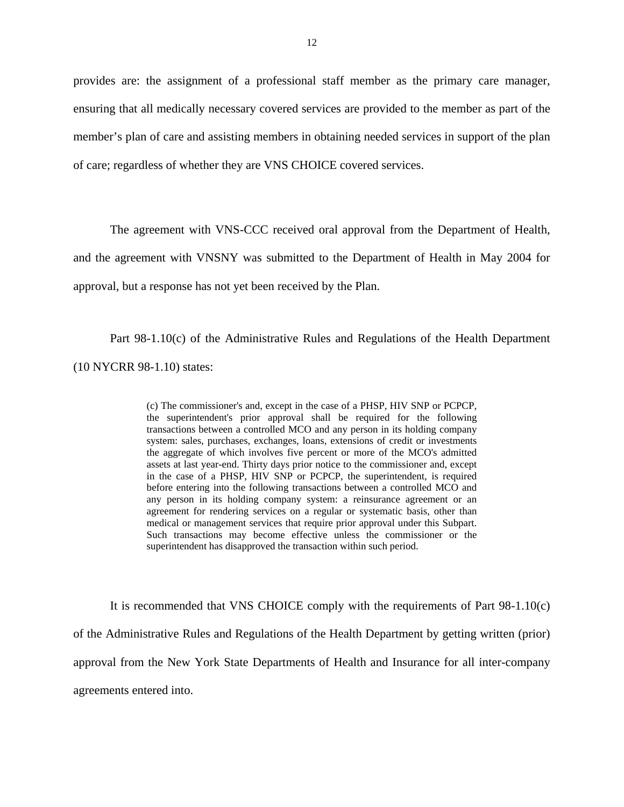provides are: the assignment of a professional staff member as the primary care manager, ensuring that all medically necessary covered services are provided to the member as part of the member's plan of care and assisting members in obtaining needed services in support of the plan of care; regardless of whether they are VNS CHOICE covered services.

The agreement with VNS-CCC received oral approval from the Department of Health, and the agreement with VNSNY was submitted to the Department of Health in May 2004 for approval, but a response has not yet been received by the Plan.

Part 98-1.10(c) of the Administrative Rules and Regulations of the Health Department (10 NYCRR 98-1.10) states:

> superintendent has disapproved the transaction within such period. (c) The commissioner's and, except in the case of a PHSP, HIV SNP or PCPCP, the superintendent's prior approval shall be required for the following transactions between a controlled MCO and any person in its holding company system: sales, purchases, exchanges, loans, extensions of credit or investments the aggregate of which involves five percent or more of the MCO's admitted assets at last year-end. Thirty days prior notice to the commissioner and, except in the case of a PHSP, HIV SNP or PCPCP, the superintendent, is required before entering into the following transactions between a controlled MCO and any person in its holding company system: a reinsurance agreement or an agreement for rendering services on a regular or systematic basis, other than medical or management services that require prior approval under this Subpart. Such transactions may become effective unless the commissioner or the

 agreements entered into. It is recommended that VNS CHOICE comply with the requirements of Part 98-1.10(c) of the Administrative Rules and Regulations of the Health Department by getting written (prior) approval from the New York State Departments of Health and Insurance for all inter-company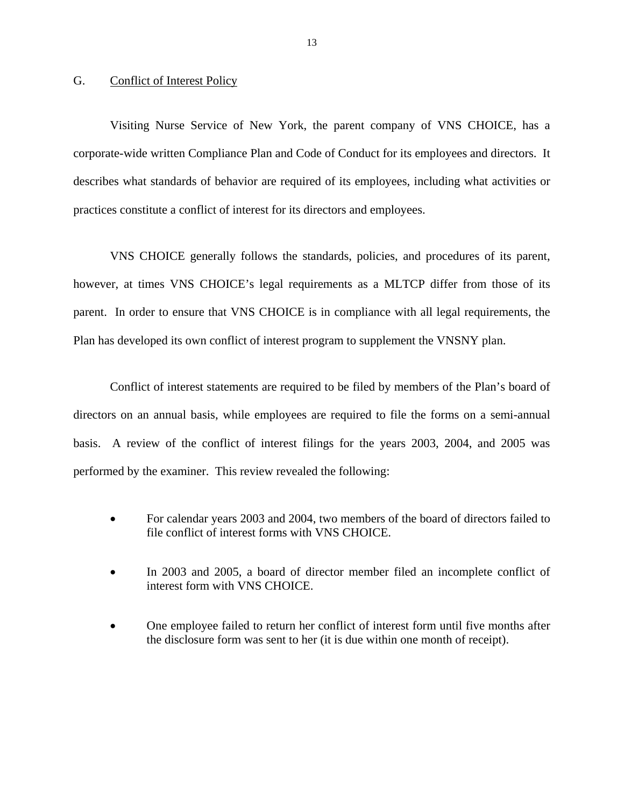#### <span id="page-14-0"></span>G. Conflict of Interest Policy

Visiting Nurse Service of New York, the parent company of VNS CHOICE, has a corporate-wide written Compliance Plan and Code of Conduct for its employees and directors. It describes what standards of behavior are required of its employees, including what activities or practices constitute a conflict of interest for its directors and employees.

VNS CHOICE generally follows the standards, policies, and procedures of its parent, however, at times VNS CHOICE's legal requirements as a MLTCP differ from those of its parent. In order to ensure that VNS CHOICE is in compliance with all legal requirements, the Plan has developed its own conflict of interest program to supplement the VNSNY plan.

Conflict of interest statements are required to be filed by members of the Plan's board of directors on an annual basis, while employees are required to file the forms on a semi-annual basis. A review of the conflict of interest filings for the years 2003, 2004, and 2005 was performed by the examiner. This review revealed the following:

- For calendar years 2003 and 2004, two members of the board of directors failed to file conflict of interest forms with VNS CHOICE.
- In 2003 and 2005, a board of director member filed an incomplete conflict of interest form with VNS CHOICE.
- One employee failed to return her conflict of interest form until five months after the disclosure form was sent to her (it is due within one month of receipt).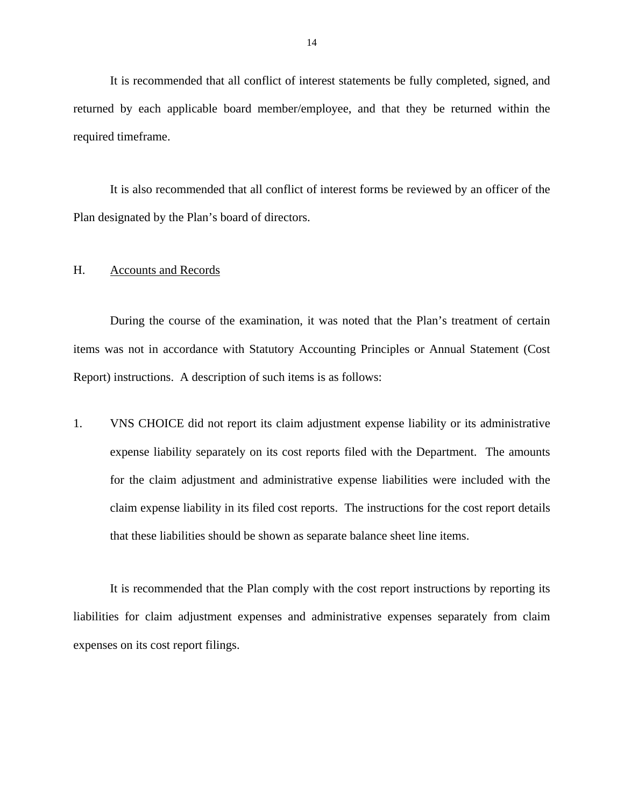<span id="page-15-0"></span>It is recommended that all conflict of interest statements be fully completed, signed, and returned by each applicable board member/employee, and that they be returned within the required timeframe.

It is also recommended that all conflict of interest forms be reviewed by an officer of the Plan designated by the Plan's board of directors.

## H. Accounts and Records

During the course of the examination, it was noted that the Plan's treatment of certain items was not in accordance with Statutory Accounting Principles or Annual Statement (Cost Report) instructions. A description of such items is as follows:

1. VNS CHOICE did not report its claim adjustment expense liability or its administrative expense liability separately on its cost reports filed with the Department. The amounts for the claim adjustment and administrative expense liabilities were included with the claim expense liability in its filed cost reports. The instructions for the cost report details that these liabilities should be shown as separate balance sheet line items.

It is recommended that the Plan comply with the cost report instructions by reporting its liabilities for claim adjustment expenses and administrative expenses separately from claim expenses on its cost report filings.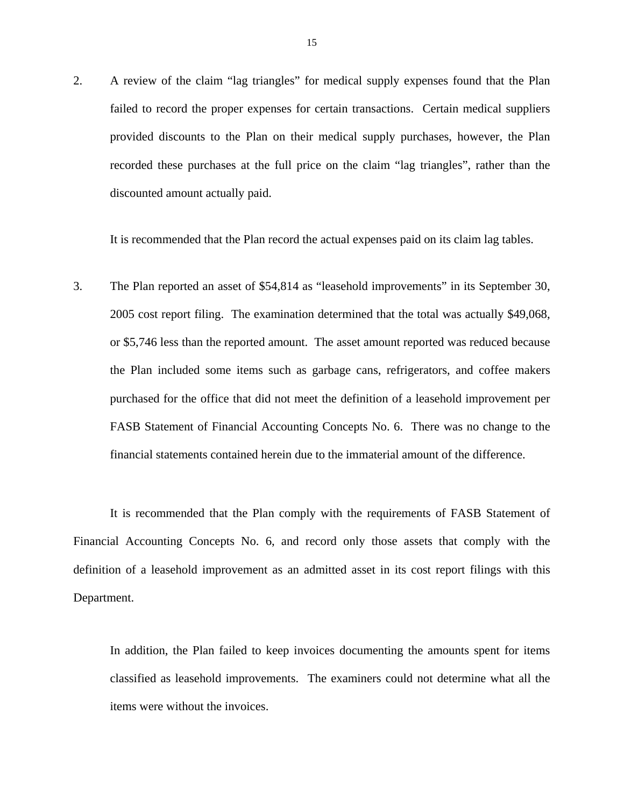2. A review of the claim "lag triangles" for medical supply expenses found that the Plan failed to record the proper expenses for certain transactions. Certain medical suppliers provided discounts to the Plan on their medical supply purchases, however, the Plan recorded these purchases at the full price on the claim "lag triangles", rather than the discounted amount actually paid.

It is recommended that the Plan record the actual expenses paid on its claim lag tables.

3. The Plan reported an asset of \$54,814 as "leasehold improvements" in its September 30, 2005 cost report filing. The examination determined that the total was actually \$49,068, or \$5,746 less than the reported amount. The asset amount reported was reduced because the Plan included some items such as garbage cans, refrigerators, and coffee makers purchased for the office that did not meet the definition of a leasehold improvement per FASB Statement of Financial Accounting Concepts No. 6. There was no change to the financial statements contained herein due to the immaterial amount of the difference.

It is recommended that the Plan comply with the requirements of FASB Statement of Financial Accounting Concepts No. 6, and record only those assets that comply with the definition of a leasehold improvement as an admitted asset in its cost report filings with this Department.

In addition, the Plan failed to keep invoices documenting the amounts spent for items classified as leasehold improvements. The examiners could not determine what all the items were without the invoices.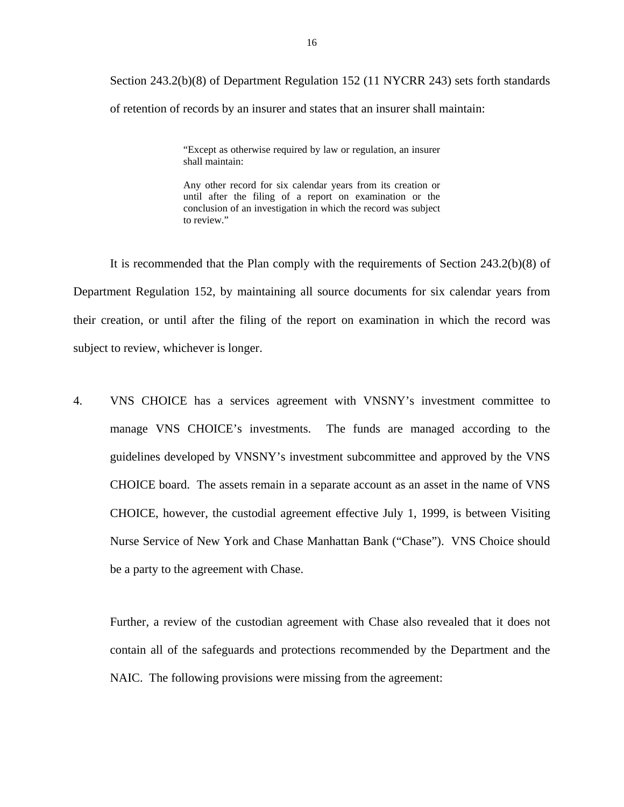Section 243.2(b)(8) of Department Regulation 152 (11 NYCRR 243) sets forth standards

of retention of records by an insurer and states that an insurer shall maintain:

"Except as otherwise required by law or regulation, an insurer shall maintain:

 conclusion of an investigation in which the record was subject Any other record for six calendar years from its creation or until after the filing of a report on examination or the to review."

It is recommended that the Plan comply with the requirements of Section 243.2(b)(8) of Department Regulation 152, by maintaining all source documents for six calendar years from their creation, or until after the filing of the report on examination in which the record was subject to review, whichever is longer.

4. VNS CHOICE has a services agreement with VNSNY's investment committee to manage VNS CHOICE's investments. The funds are managed according to the guidelines developed by VNSNY's investment subcommittee and approved by the VNS CHOICE board. The assets remain in a separate account as an asset in the name of VNS CHOICE, however, the custodial agreement effective July 1, 1999, is between Visiting Nurse Service of New York and Chase Manhattan Bank ("Chase"). VNS Choice should be a party to the agreement with Chase.

Further, a review of the custodian agreement with Chase also revealed that it does not contain all of the safeguards and protections recommended by the Department and the NAIC. The following provisions were missing from the agreement: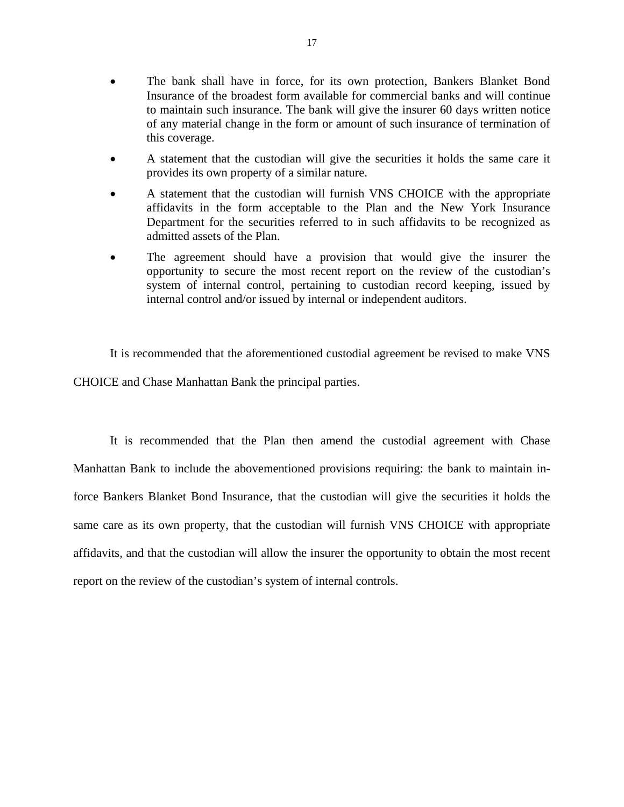- The bank shall have in force, for its own protection, Bankers Blanket Bond Insurance of the broadest form available for commercial banks and will continue to maintain such insurance. The bank will give the insurer 60 days written notice of any material change in the form or amount of such insurance of termination of this coverage.
- A statement that the custodian will give the securities it holds the same care it provides its own property of a similar nature.
- A statement that the custodian will furnish VNS CHOICE with the appropriate affidavits in the form acceptable to the Plan and the New York Insurance Department for the securities referred to in such affidavits to be recognized as admitted assets of the Plan.
- The agreement should have a provision that would give the insurer the opportunity to secure the most recent report on the review of the custodian's system of internal control, pertaining to custodian record keeping, issued by internal control and/or issued by internal or independent auditors.

It is recommended that the aforementioned custodial agreement be revised to make VNS CHOICE and Chase Manhattan Bank the principal parties.

It is recommended that the Plan then amend the custodial agreement with Chase Manhattan Bank to include the abovementioned provisions requiring: the bank to maintain inforce Bankers Blanket Bond Insurance, that the custodian will give the securities it holds the same care as its own property, that the custodian will furnish VNS CHOICE with appropriate affidavits, and that the custodian will allow the insurer the opportunity to obtain the most recent report on the review of the custodian's system of internal controls.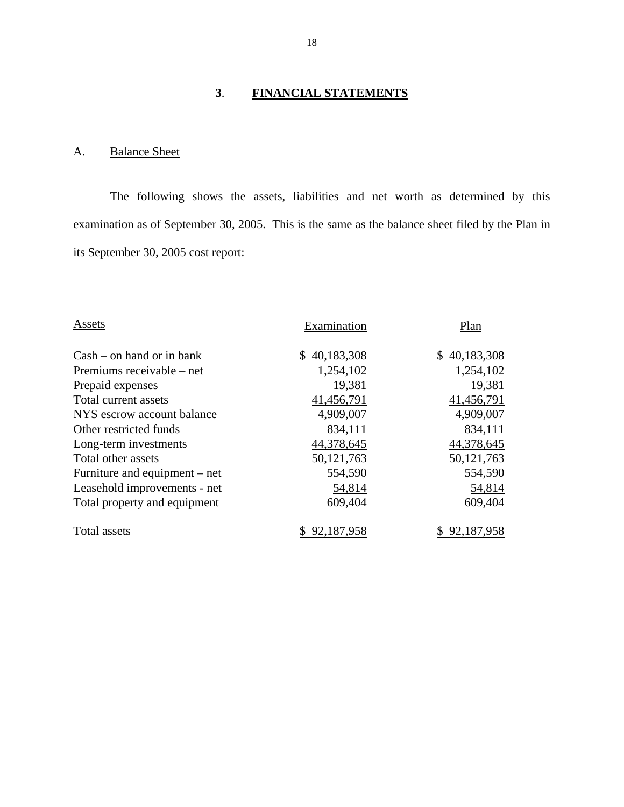## **3**. **FINANCIAL STATEMENTS**

## <span id="page-19-0"></span>A. Balance Sheet

The following shows the assets, liabilities and net worth as determined by this examination as of September 30, 2005. This is the same as the balance sheet filed by the Plan in its September 30, 2005 cost report:

| Assets                        | Examination  | Plan         |
|-------------------------------|--------------|--------------|
| $Cash - on hand or in bank$   | \$40,183,308 | \$40,183,308 |
| Premiums receivable – net     | 1,254,102    | 1,254,102    |
| Prepaid expenses              | 19,381       | 19,381       |
| Total current assets          | 41,456,791   | 41,456,791   |
| NYS escrow account balance    | 4,909,007    | 4,909,007    |
| Other restricted funds        | 834,111      | 834,111      |
| Long-term investments         | 44,378,645   | 44,378,645   |
| Total other assets            | 50, 121, 763 | 50, 121, 763 |
| Furniture and equipment – net | 554,590      | 554,590      |
| Leasehold improvements - net  | 54,814       | 54,814       |
| Total property and equipment  | 609,404      | 609,404      |
| Total assets                  | 92.187.958   | 92,187,958   |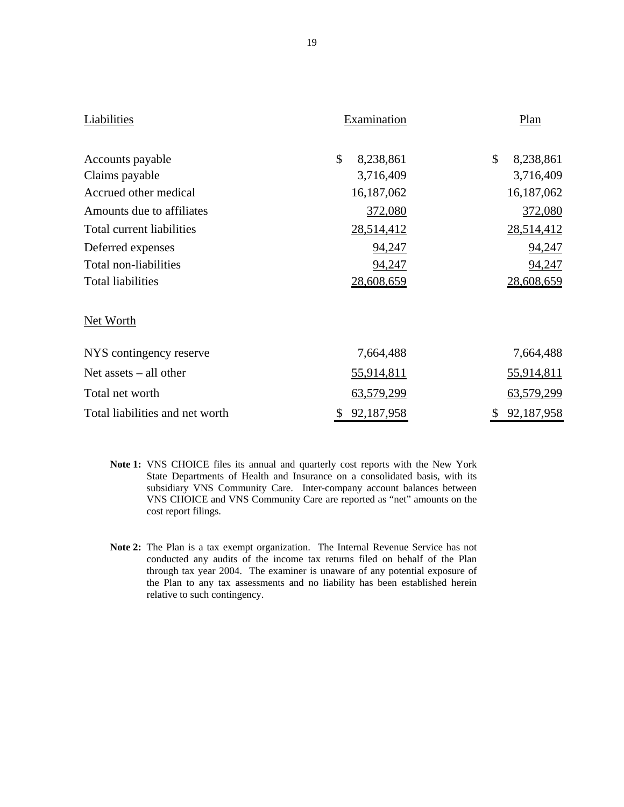| Liabilities                     | Examination      | Plan                       |
|---------------------------------|------------------|----------------------------|
| Accounts payable                | \$<br>8,238,861  | $\mathcal{S}$<br>8,238,861 |
| Claims payable                  | 3,716,409        | 3,716,409                  |
| Accrued other medical           | 16,187,062       | 16,187,062                 |
| Amounts due to affiliates       | 372,080          | 372,080                    |
| Total current liabilities       | 28,514,412       | 28,514,412                 |
| Deferred expenses               | 94,247           | 94,247                     |
| Total non-liabilities           | 94,247           | 94,247                     |
| <b>Total liabilities</b>        | 28,608,659       | 28,608,659                 |
| Net Worth                       |                  |                            |
| NYS contingency reserve         | 7,664,488        | 7,664,488                  |
| Net assets $-$ all other        | 55,914,811       | 55,914,811                 |
| Total net worth                 | 63,579,299       | 63,579,299                 |
| Total liabilities and net worth | 92,187,958<br>\$ | 92,187,958<br>\$           |

- **Note 1:** VNS CHOICE files its annual and quarterly cost reports with the New York State Departments of Health and Insurance on a consolidated basis, with its subsidiary VNS Community Care. Inter-company account balances between VNS CHOICE and VNS Community Care are reported as "net" amounts on the cost report filings.
- **Note 2:** The Plan is a tax exempt organization. The Internal Revenue Service has not conducted any audits of the income tax returns filed on behalf of the Plan through tax year 2004. The examiner is unaware of any potential exposure of the Plan to any tax assessments and no liability has been established herein relative to such contingency.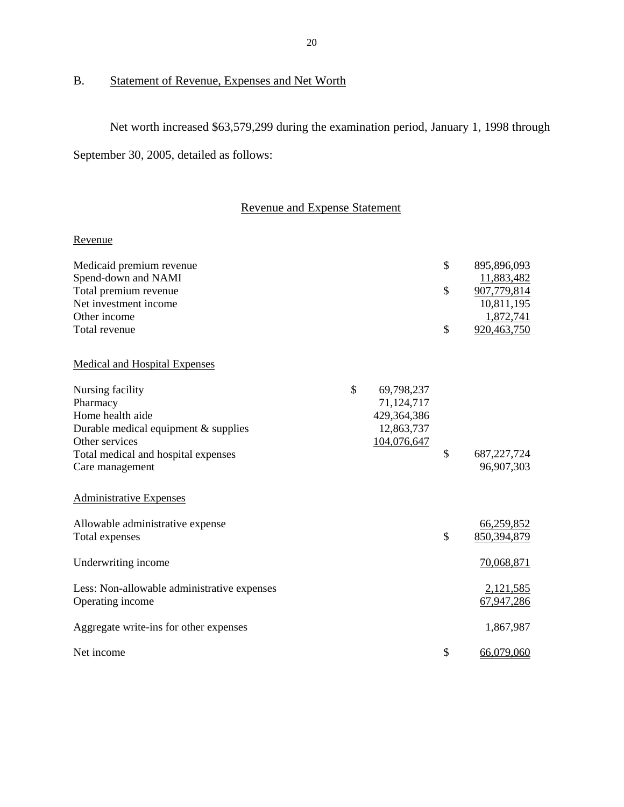## B. Statement of Revenue, Expenses and Net Worth

Net worth increased \$63,579,299 during the examination period, January 1, 1998 through September 30, 2005, detailed as follows:

## Revenue and Expense Statement

## Revenue

| Medicaid premium revenue                    |                  | \$<br>895,896,093   |
|---------------------------------------------|------------------|---------------------|
| Spend-down and NAMI                         |                  | 11,883,482          |
| Total premium revenue                       |                  | \$<br>907,779,814   |
| Net investment income                       |                  | 10,811,195          |
| Other income                                |                  | 1,872,741           |
| Total revenue                               |                  | \$<br>920,463,750   |
| <b>Medical and Hospital Expenses</b>        |                  |                     |
| Nursing facility                            | \$<br>69,798,237 |                     |
| Pharmacy                                    | 71,124,717       |                     |
| Home health aide                            | 429,364,386      |                     |
| Durable medical equipment $&$ supplies      | 12,863,737       |                     |
| Other services                              | 104,076,647      |                     |
| Total medical and hospital expenses         |                  | \$<br>687, 227, 724 |
| Care management                             |                  | 96,907,303          |
| <b>Administrative Expenses</b>              |                  |                     |
| Allowable administrative expense            |                  | 66,259,852          |
| Total expenses                              |                  | \$<br>850,394,879   |
|                                             |                  |                     |
| Underwriting income                         |                  | 70,068,871          |
| Less: Non-allowable administrative expenses |                  | 2,121,585           |
| Operating income                            |                  | 67,947,286          |
| Aggregate write-ins for other expenses      |                  | 1,867,987           |
| Net income                                  |                  | \$<br>66,079,060    |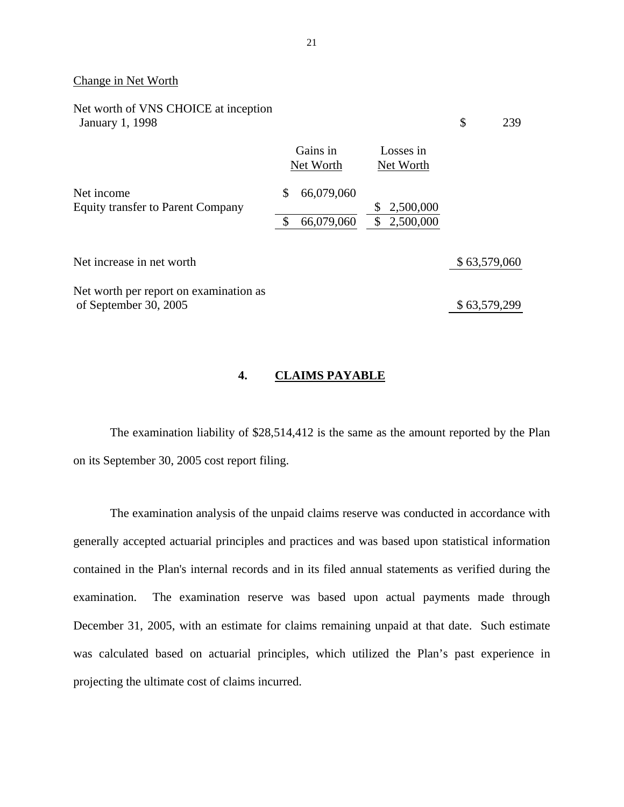#### Change in Net Worth

| Net worth of VNS CHOICE at inception<br><b>January 1, 1998</b>  |                       |                                    | \$<br>239    |
|-----------------------------------------------------------------|-----------------------|------------------------------------|--------------|
|                                                                 | Gains in<br>Net Worth | Losses in<br>Net Worth             |              |
| Net income                                                      | \$<br>66,079,060      |                                    |              |
| <b>Equity transfer to Parent Company</b>                        | \$<br>66,079,060      | 2,500,000<br>\$<br>\$<br>2,500,000 |              |
| Net increase in net worth                                       |                       |                                    | \$63,579,060 |
| Net worth per report on examination as<br>of September 30, 2005 |                       |                                    | \$63,579,299 |

## **4. CLAIMS PAYABLE**

The examination liability of \$28,514,412 is the same as the amount reported by the Plan on its September 30, 2005 cost report filing.

The examination analysis of the unpaid claims reserve was conducted in accordance with generally accepted actuarial principles and practices and was based upon statistical information contained in the Plan's internal records and in its filed annual statements as verified during the examination. The examination reserve was based upon actual payments made through December 31, 2005, with an estimate for claims remaining unpaid at that date. Such estimate was calculated based on actuarial principles, which utilized the Plan's past experience in projecting the ultimate cost of claims incurred.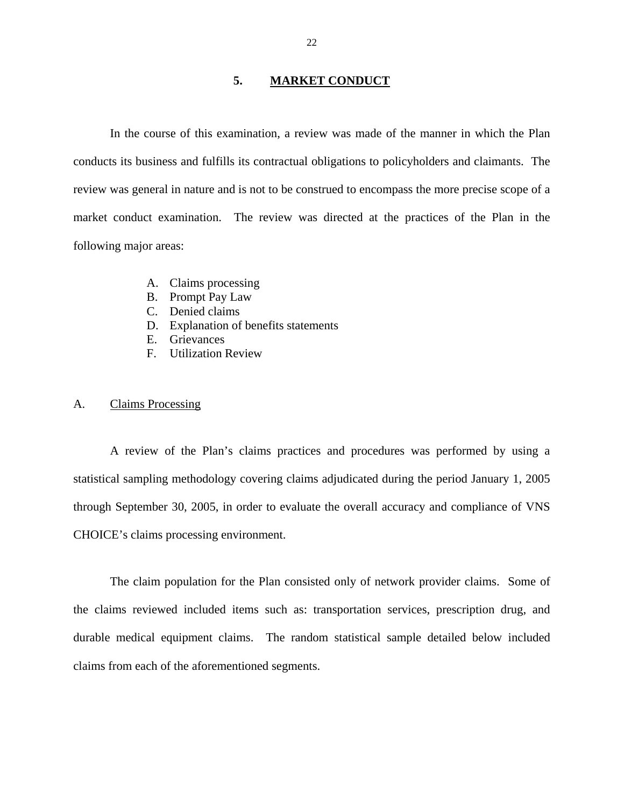## **5. MARKET CONDUCT**

<span id="page-23-0"></span>In the course of this examination, a review was made of the manner in which the Plan conducts its business and fulfills its contractual obligations to policyholders and claimants. The review was general in nature and is not to be construed to encompass the more precise scope of a market conduct examination. The review was directed at the practices of the Plan in the following major areas:

- A. Claims processing
- B. Prompt Pay Law
- C. Denied claims
- D. Explanation of benefits statements
- E. Grievances
- F. Utilization Review

### A. Claims Processing

A review of the Plan's claims practices and procedures was performed by using a statistical sampling methodology covering claims adjudicated during the period January 1, 2005 through September 30, 2005, in order to evaluate the overall accuracy and compliance of VNS CHOICE's claims processing environment.

The claim population for the Plan consisted only of network provider claims. Some of the claims reviewed included items such as: transportation services, prescription drug, and durable medical equipment claims. The random statistical sample detailed below included claims from each of the aforementioned segments.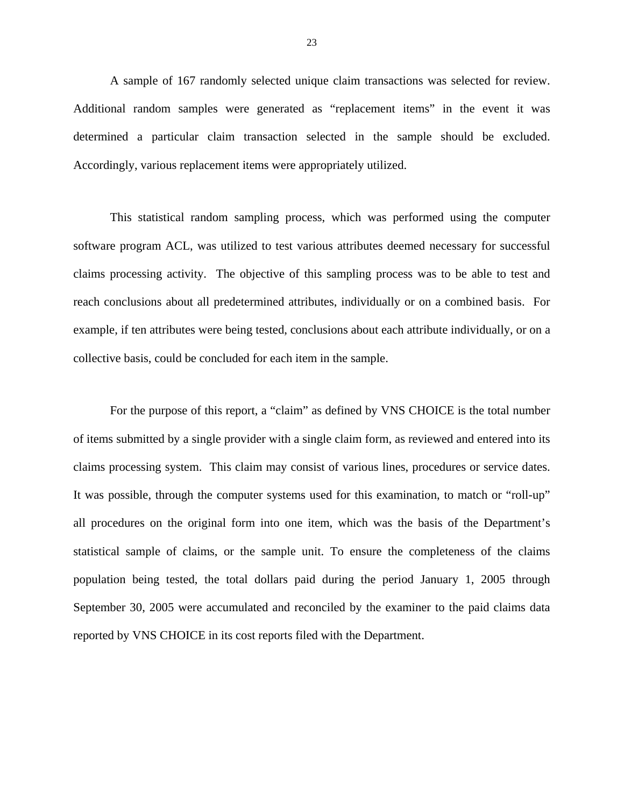A sample of 167 randomly selected unique claim transactions was selected for review. Additional random samples were generated as "replacement items" in the event it was determined a particular claim transaction selected in the sample should be excluded. Accordingly, various replacement items were appropriately utilized.

This statistical random sampling process, which was performed using the computer software program ACL, was utilized to test various attributes deemed necessary for successful claims processing activity. The objective of this sampling process was to be able to test and reach conclusions about all predetermined attributes, individually or on a combined basis. For example, if ten attributes were being tested, conclusions about each attribute individually, or on a collective basis, could be concluded for each item in the sample.

For the purpose of this report, a "claim" as defined by VNS CHOICE is the total number of items submitted by a single provider with a single claim form, as reviewed and entered into its claims processing system. This claim may consist of various lines, procedures or service dates. It was possible, through the computer systems used for this examination, to match or "roll-up" all procedures on the original form into one item, which was the basis of the Department's statistical sample of claims, or the sample unit. To ensure the completeness of the claims population being tested, the total dollars paid during the period January 1, 2005 through September 30, 2005 were accumulated and reconciled by the examiner to the paid claims data reported by VNS CHOICE in its cost reports filed with the Department.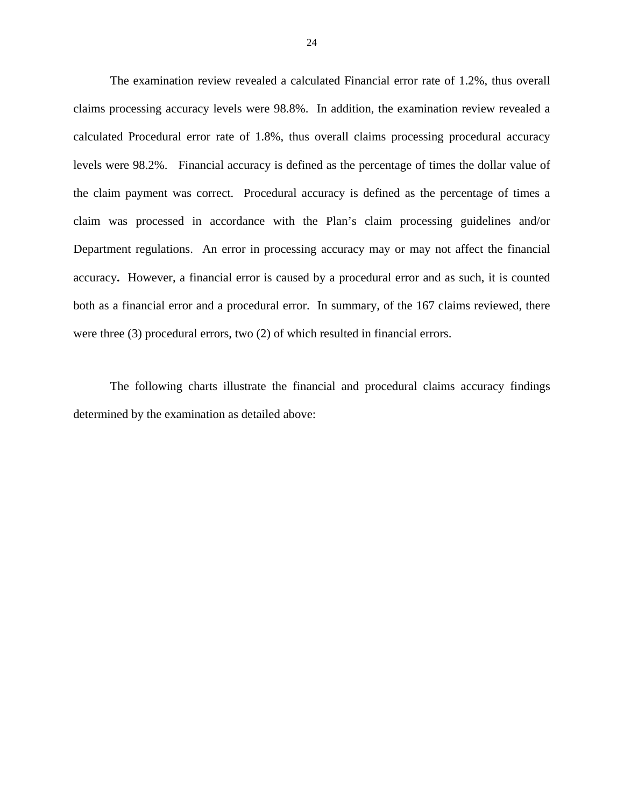The examination review revealed a calculated Financial error rate of 1.2%, thus overall claims processing accuracy levels were 98.8%. In addition, the examination review revealed a calculated Procedural error rate of 1.8%, thus overall claims processing procedural accuracy levels were 98.2%. Financial accuracy is defined as the percentage of times the dollar value of the claim payment was correct. Procedural accuracy is defined as the percentage of times a claim was processed in accordance with the Plan's claim processing guidelines and/or Department regulations. An error in processing accuracy may or may not affect the financial accuracy**.** However, a financial error is caused by a procedural error and as such, it is counted both as a financial error and a procedural error. In summary, of the 167 claims reviewed, there were three (3) procedural errors, two (2) of which resulted in financial errors.

The following charts illustrate the financial and procedural claims accuracy findings determined by the examination as detailed above: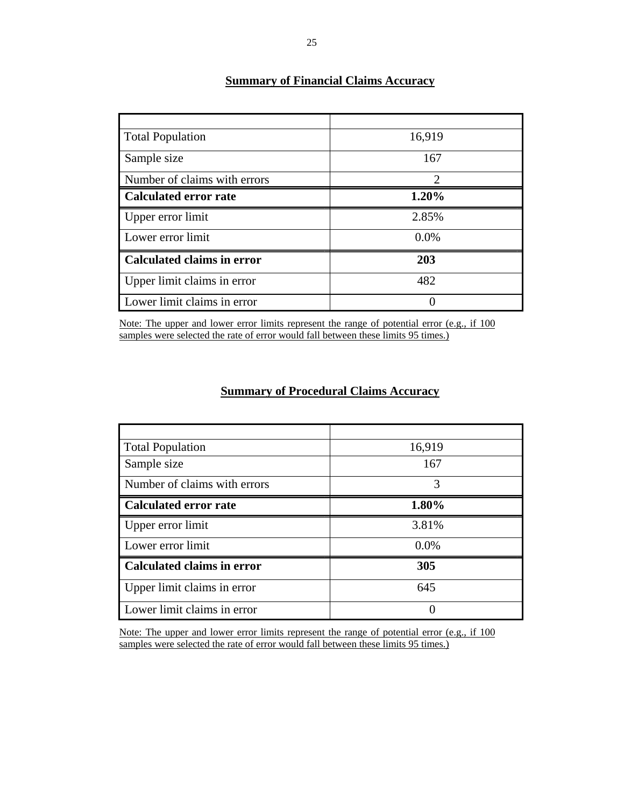| <b>Total Population</b>           | 16,919                      |
|-----------------------------------|-----------------------------|
| Sample size                       | 167                         |
| Number of claims with errors      | $\mathcal{D}_{\mathcal{L}}$ |
| <b>Calculated error rate</b>      | 1.20%                       |
| Upper error limit                 | 2.85%                       |
| Lower error limit                 | 0.0%                        |
| <b>Calculated claims in error</b> | 203                         |
| Upper limit claims in error       | 482                         |
| Lower limit claims in error       |                             |

## **Summary of Financial Claims Accuracy**

Note: The upper and lower error limits represent the range of potential error (e.g., if 100 samples were selected the rate of error would fall between these limits 95 times.)

## **Summary of Procedural Claims Accuracy**

| <b>Total Population</b>           | 16,919  |
|-----------------------------------|---------|
| Sample size                       | 167     |
| Number of claims with errors      | 3       |
| <b>Calculated error rate</b>      | 1.80%   |
| Upper error limit                 | 3.81%   |
| Lower error limit                 | $0.0\%$ |
| <b>Calculated claims in error</b> | 305     |
| Upper limit claims in error       | 645     |
| Lower limit claims in error       | 0       |

Note: The upper and lower error limits represent the range of potential error (e.g., if 100 samples were selected the rate of error would fall between these limits 95 times.)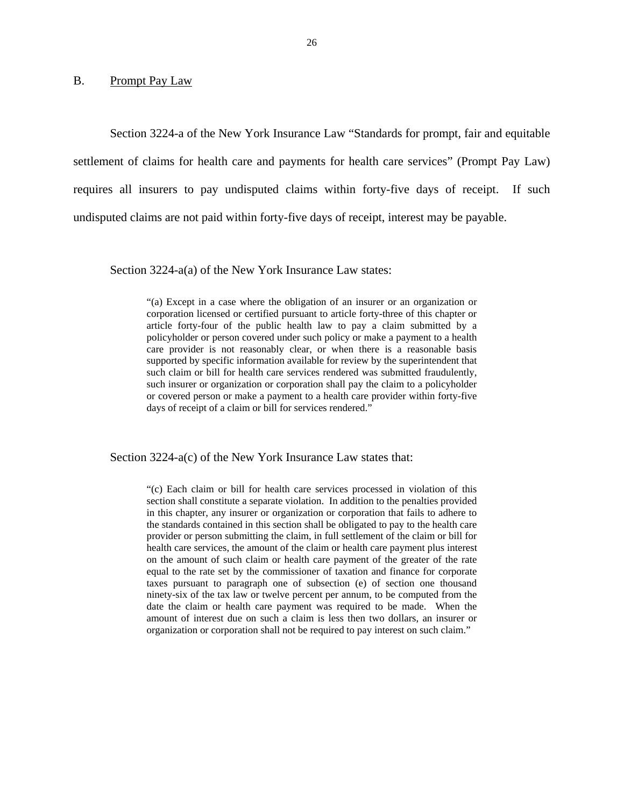#### <span id="page-27-0"></span>B. Prompt Pay Law

Section 3224-a of the New York Insurance Law "Standards for prompt, fair and equitable settlement of claims for health care and payments for health care services" (Prompt Pay Law) requires all insurers to pay undisputed claims within forty-five days of receipt. If such undisputed claims are not paid within forty-five days of receipt, interest may be payable.

Section 3224-a(a) of the New York Insurance Law states:

"(a) Except in a case where the obligation of an insurer or an organization or corporation licensed or certified pursuant to article forty-three of this chapter or article forty-four of the public health law to pay a claim submitted by a policyholder or person covered under such policy or make a payment to a health care provider is not reasonably clear, or when there is a reasonable basis supported by specific information available for review by the superintendent that such claim or bill for health care services rendered was submitted fraudulently, such insurer or organization or corporation shall pay the claim to a policyholder or covered person or make a payment to a health care provider within forty-five days of receipt of a claim or bill for services rendered."

Section 3224-a(c) of the New York Insurance Law states that:

 the standards contained in this section shall be obligated to pay to the health care "(c) Each claim or bill for health care services processed in violation of this section shall constitute a separate violation. In addition to the penalties provided in this chapter, any insurer or organization or corporation that fails to adhere to provider or person submitting the claim, in full settlement of the claim or bill for health care services, the amount of the claim or health care payment plus interest on the amount of such claim or health care payment of the greater of the rate equal to the rate set by the commissioner of taxation and finance for corporate taxes pursuant to paragraph one of subsection (e) of section one thousand ninety-six of the tax law or twelve percent per annum, to be computed from the date the claim or health care payment was required to be made. When the amount of interest due on such a claim is less then two dollars, an insurer or organization or corporation shall not be required to pay interest on such claim."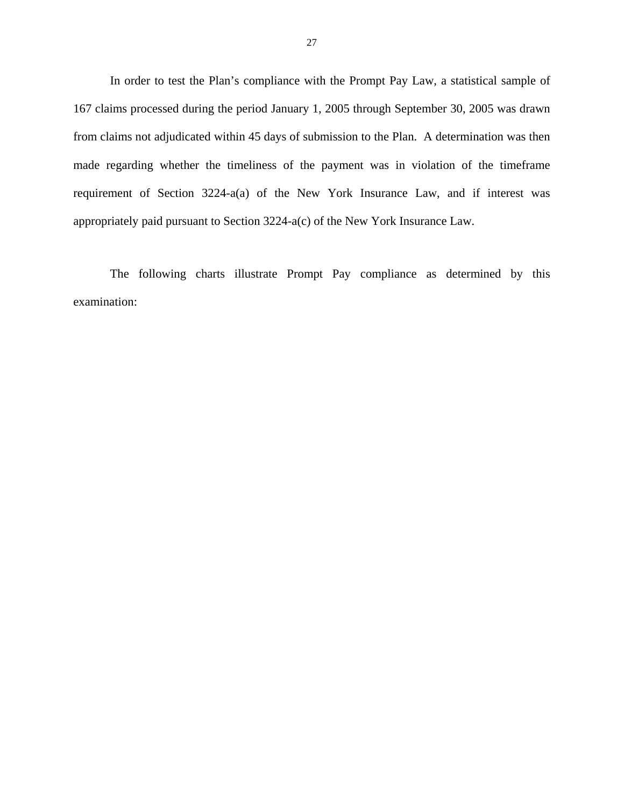In order to test the Plan's compliance with the Prompt Pay Law, a statistical sample of 167 claims processed during the period January 1, 2005 through September 30, 2005 was drawn from claims not adjudicated within 45 days of submission to the Plan. A determination was then made regarding whether the timeliness of the payment was in violation of the timeframe requirement of Section 3224-a(a) of the New York Insurance Law, and if interest was appropriately paid pursuant to Section 3224-a(c) of the New York Insurance Law.

The following charts illustrate Prompt Pay compliance as determined by this examination: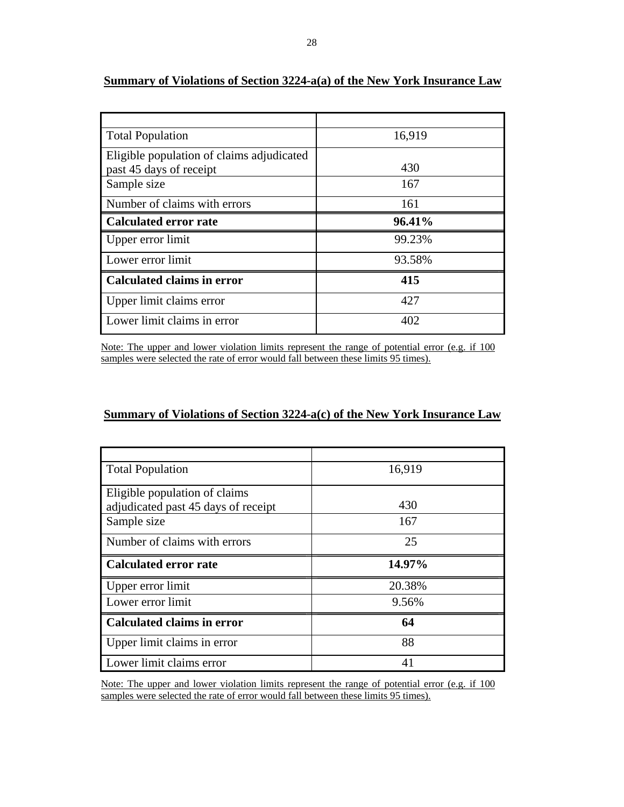| <b>Total Population</b>                   | 16,919 |
|-------------------------------------------|--------|
| Eligible population of claims adjudicated |        |
| past 45 days of receipt                   | 430    |
| Sample size                               | 167    |
| Number of claims with errors              | 161    |
| <b>Calculated error rate</b>              | 96.41% |
| Upper error limit                         | 99.23% |
| Lower error limit                         | 93.58% |
| <b>Calculated claims in error</b>         | 415    |
| Upper limit claims error                  | 427    |
| Lower limit claims in error               | 402    |

## **Summary of Violations of Section 3224-a(a) of the New York Insurance Law**

Note: The upper and lower violation limits represent the range of potential error (e.g. if 100 samples were selected the rate of error would fall between these limits 95 times).

#### **Summary of Violations of Section 3224-a(c) of the New York Insurance Law**

| <b>Total Population</b>             | 16,919 |
|-------------------------------------|--------|
| Eligible population of claims       |        |
| adjudicated past 45 days of receipt | 430    |
| Sample size                         | 167    |
| Number of claims with errors        | 25     |
| <b>Calculated error rate</b>        | 14.97% |
| Upper error limit                   | 20.38% |
| Lower error limit                   | 9.56%  |
| <b>Calculated claims in error</b>   | 64     |
|                                     |        |
| Upper limit claims in error         | 88     |

Note: The upper and lower violation limits represent the range of potential error (e.g. if 100 samples were selected the rate of error would fall between these limits 95 times).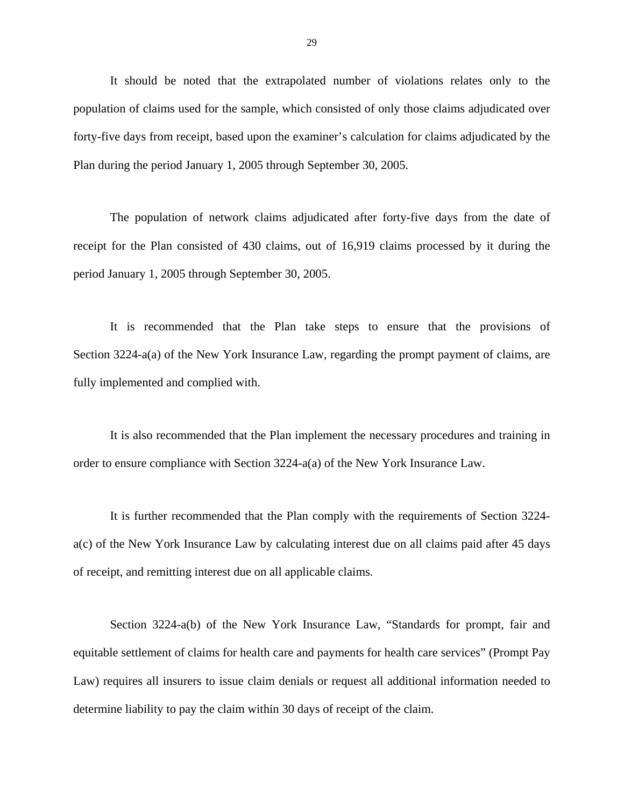It should be noted that the extrapolated number of violations relates only to the population of claims used for the sample, which consisted of only those claims adjudicated over forty-five days from receipt, based upon the examiner's calculation for claims adjudicated by the Plan during the period January 1, 2005 through September 30, 2005.

The population of network claims adjudicated after forty-five days from the date of receipt for the Plan consisted of 430 claims, out of 16,919 claims processed by it during the period January 1, 2005 through September 30, 2005.

It is recommended that the Plan take steps to ensure that the provisions of Section 3224-a(a) of the New York Insurance Law, regarding the prompt payment of claims, are fully implemented and complied with.

It is also recommended that the Plan implement the necessary procedures and training in order to ensure compliance with Section 3224-a(a) of the New York Insurance Law.

It is further recommended that the Plan comply with the requirements of Section 3224 a(c) of the New York Insurance Law by calculating interest due on all claims paid after 45 days of receipt, and remitting interest due on all applicable claims.

Section 3224-a(b) of the New York Insurance Law, "Standards for prompt, fair and equitable settlement of claims for health care and payments for health care services" (Prompt Pay Law) requires all insurers to issue claim denials or request all additional information needed to determine liability to pay the claim within 30 days of receipt of the claim.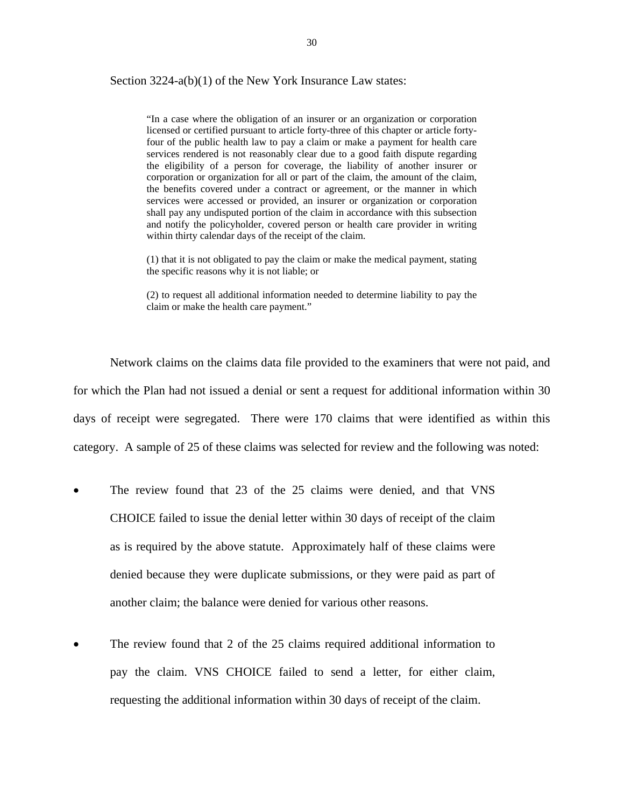Section 3224-a(b)(1) of the New York Insurance Law states:

 licensed or certified pursuant to article forty-three of this chapter or article forty- the benefits covered under a contract or agreement, or the manner in which and notify the policyholder, covered person or health care provider in writing "In a case where the obligation of an insurer or an organization or corporation four of the public health law to pay a claim or make a payment for health care services rendered is not reasonably clear due to a good faith dispute regarding the eligibility of a person for coverage, the liability of another insurer or corporation or organization for all or part of the claim, the amount of the claim, services were accessed or provided, an insurer or organization or corporation shall pay any undisputed portion of the claim in accordance with this subsection within thirty calendar days of the receipt of the claim.

(1) that it is not obligated to pay the claim or make the medical payment, stating the specific reasons why it is not liable; or

(2) to request all additional information needed to determine liability to pay the claim or make the health care payment."

Network claims on the claims data file provided to the examiners that were not paid, and for which the Plan had not issued a denial or sent a request for additional information within 30 days of receipt were segregated. There were 170 claims that were identified as within this category. A sample of 25 of these claims was selected for review and the following was noted:

- The review found that 23 of the 25 claims were denied, and that VNS CHOICE failed to issue the denial letter within 30 days of receipt of the claim as is required by the above statute. Approximately half of these claims were denied because they were duplicate submissions, or they were paid as part of another claim; the balance were denied for various other reasons.
- The review found that 2 of the 25 claims required additional information to pay the claim. VNS CHOICE failed to send a letter, for either claim, requesting the additional information within 30 days of receipt of the claim.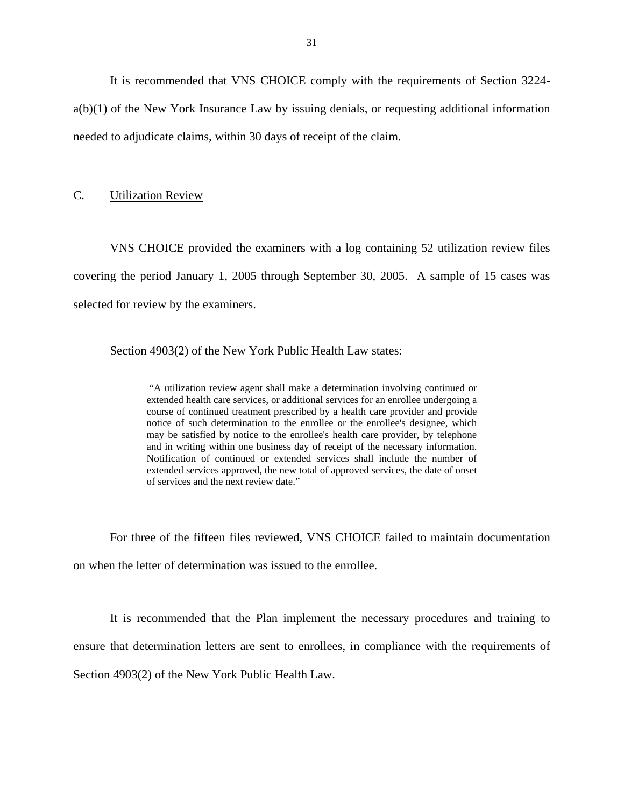<span id="page-32-0"></span>It is recommended that VNS CHOICE comply with the requirements of Section 3224 a(b)(1) of the New York Insurance Law by issuing denials, or requesting additional information needed to adjudicate claims, within 30 days of receipt of the claim.

#### C. Utilization Review

VNS CHOICE provided the examiners with a log containing 52 utilization review files covering the period January 1, 2005 through September 30, 2005. A sample of 15 cases was selected for review by the examiners.

Section 4903(2) of the New York Public Health Law states:

and in writing within one business day of receipt of the necessary information. "A utilization review agent shall make a determination involving continued or extended health care services, or additional services for an enrollee undergoing a course of continued treatment prescribed by a health care provider and provide notice of such determination to the enrollee or the enrollee's designee, which may be satisfied by notice to the enrollee's health care provider, by telephone Notification of continued or extended services shall include the number of extended services approved, the new total of approved services, the date of onset of services and the next review date."

For three of the fifteen files reviewed, VNS CHOICE failed to maintain documentation on when the letter of determination was issued to the enrollee.

It is recommended that the Plan implement the necessary procedures and training to ensure that determination letters are sent to enrollees, in compliance with the requirements of Section 4903(2) of the New York Public Health Law.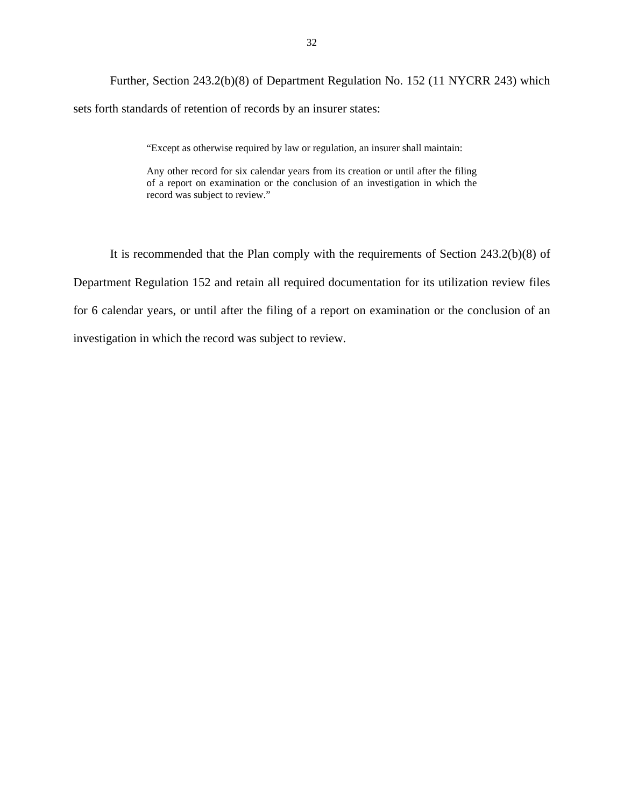Further, Section 243.2(b)(8) of Department Regulation No. 152 (11 NYCRR 243) which sets forth standards of retention of records by an insurer states:

"Except as otherwise required by law or regulation, an insurer shall maintain:

Any other record for six calendar years from its creation or until after the filing of a report on examination or the conclusion of an investigation in which the record was subject to review."

It is recommended that the Plan comply with the requirements of Section 243.2(b)(8) of Department Regulation 152 and retain all required documentation for its utilization review files for 6 calendar years, or until after the filing of a report on examination or the conclusion of an investigation in which the record was subject to review.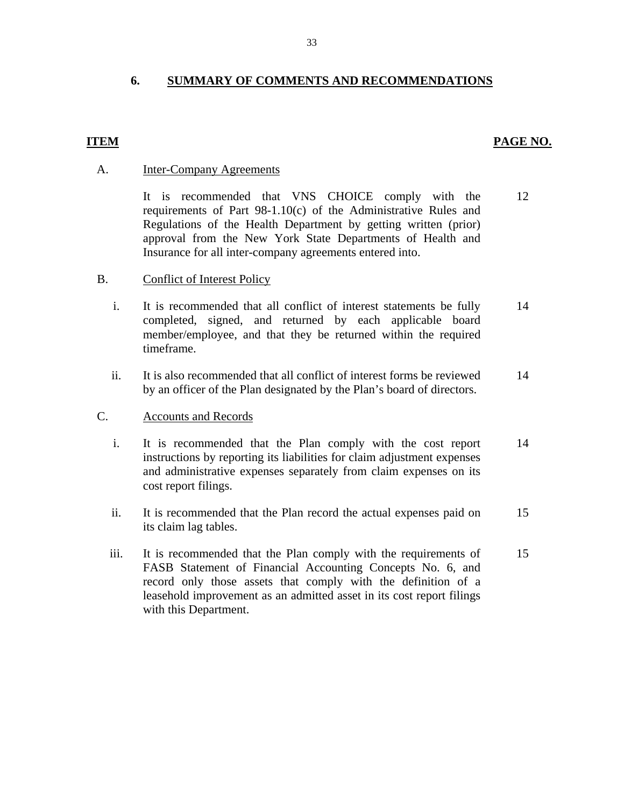## **6. SUMMARY OF COMMENTS AND RECOMMENDATIONS**

## **ITEM** PAGE NO.

#### **Inter-Company Agreements**

A. Inter-Company Agreements<br>It is recommended that VNS CHOICE comply with the requirements of Part 98-1.10(c) of the Administrative Rules and Regulations of the Health Department by getting written (prior) approval from the New York State Departments of Health and Insurance for all inter-company agreements entered into. 12

## B. Conflict of Interest Policy

- i. It is recommended that all conflict of interest statements be fully completed, signed, and returned by each applicable board member/employee, and that they be returned within the required timeframe. 14
- ii. It is also recommended that all conflict of interest forms be reviewed by an officer of the Plan designated by the Plan's board of directors. 14

#### **Accounts and Records**

- C. Accounts and Records<br>i. It is recommended that the Plan comply with the cost report instructions by reporting its liabilities for claim adjustment expenses and administrative expenses separately from claim expenses on its cost report filings. 14
	- ii. It is recommended that the Plan record the actual expenses paid on its claim lag tables. 15
	- iii. It is recommended that the Plan comply with the requirements of FASB Statement of Financial Accounting Concepts No. 6, and record only those assets that comply with the definition of a leasehold improvement as an admitted asset in its cost report filings with this Department. 15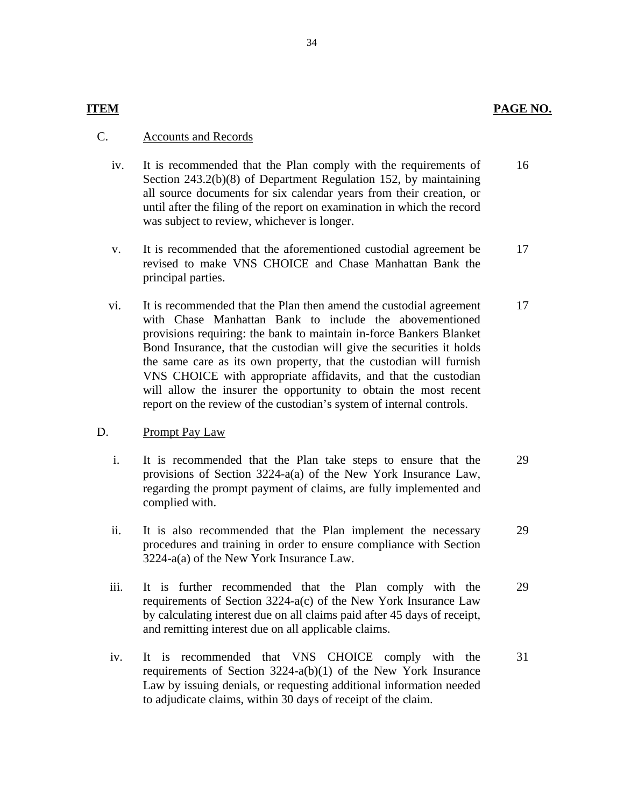## **ITEM** PAGE NO.

## C. Accounts and Records

- iv. It is recommended that the Plan comply with the requirements of Section 243.2(b)(8) of Department Regulation 152, by maintaining all source documents for six calendar years from their creation, or until after the filing of the report on examination in which the record was subject to review, whichever is longer. 16
- v. It is recommended that the aforementioned custodial agreement be revised to make VNS CHOICE and Chase Manhattan Bank the principal parties. 17
- vi. It is recommended that the Plan then amend the custodial agreement with Chase Manhattan Bank to include the abovementioned provisions requiring: the bank to maintain in-force Bankers Blanket Bond Insurance, that the custodian will give the securities it holds the same care as its own property, that the custodian will furnish VNS CHOICE with appropriate affidavits, and that the custodian will allow the insurer the opportunity to obtain the most recent report on the review of the custodian's system of internal controls. 17

## D. Prompt Pay Law

- i. It is recommended that the Plan take steps to ensure that the provisions of Section 3224-a(a) of the New York Insurance Law, regarding the prompt payment of claims, are fully implemented and complied with. 29
- ii. It is also recommended that the Plan implement the necessary procedures and training in order to ensure compliance with Section 3224-a(a) of the New York Insurance Law. 29
- iii. It is further recommended that the Plan comply with the requirements of Section 3224-a(c) of the New York Insurance Law by calculating interest due on all claims paid after 45 days of receipt, and remitting interest due on all applicable claims. 29
- to adjudicate claims, within 30 days of receipt of the claim. iv. It is recommended that VNS CHOICE comply with the requirements of Section 3224-a(b)(1) of the New York Insurance Law by issuing denials, or requesting additional information needed It is recommended that VNS CHOICE comply with the 31 requirements of Section 3224-a(b)(1) of the New York Insurance Law by issuing denials, or requesting additional information needed to adjudicate claims, within 30 days o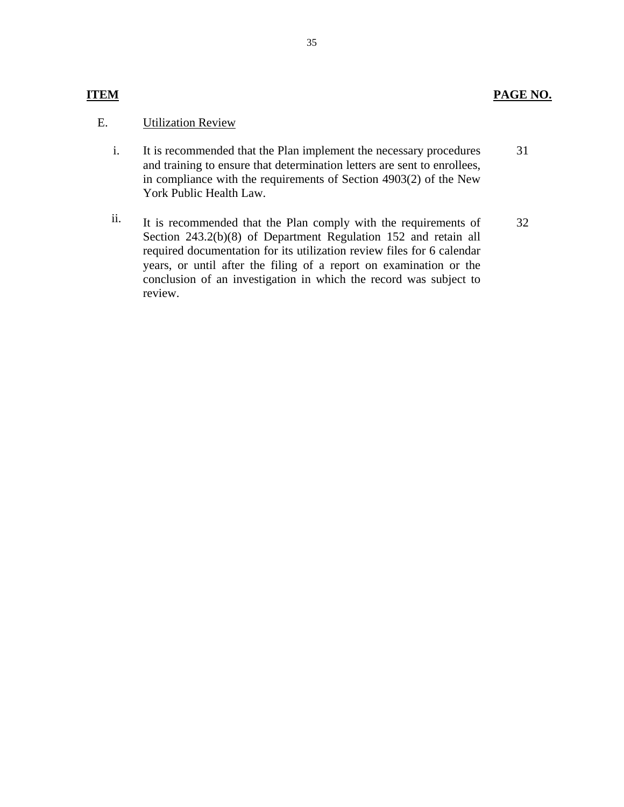## **PAGE NO.**

## **ITEM**

## E. **Utilization Review**

- i. It is recommended that the Plan implement the necessary procedures and training to ensure that determination letters are sent to enrollees, in compliance with the requirements of Section 4903(2) of the New York Public Health Law. 31
- ii. It is recommended that the Plan comply with the requirements of Section 243.2(b)(8) of Department Regulation 152 and retain all required documentation for its utilization review files for 6 calendar years, or until after the filing of a report on examination or the conclusion of an investigation in which the record was subject to review. 32